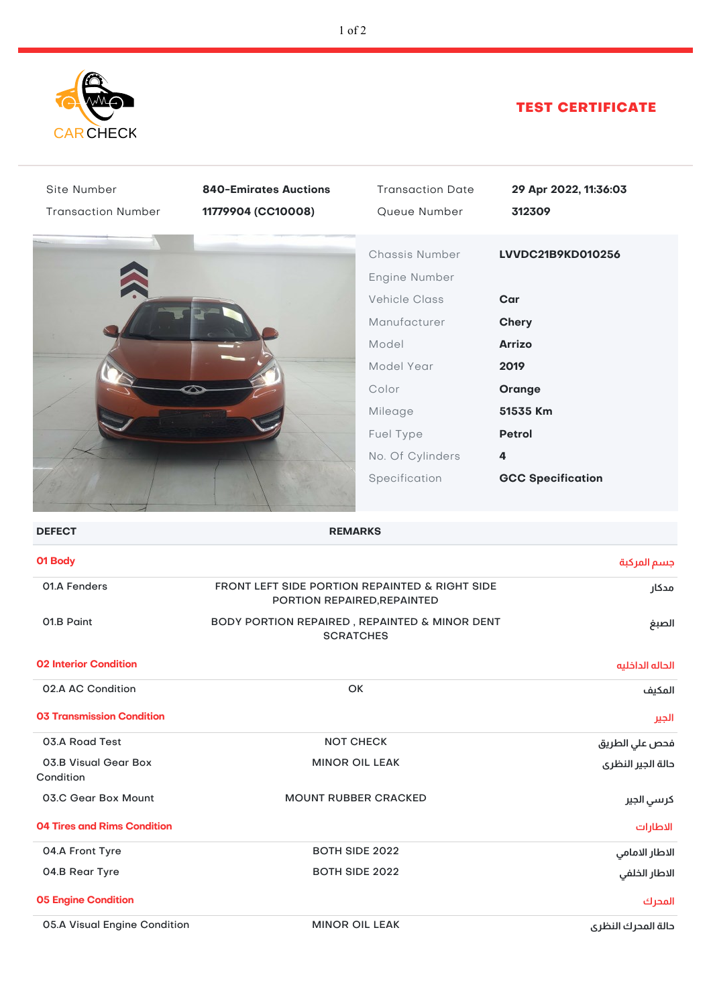

## TEST CERTIFICATE

| Site Number<br><b>Transaction Number</b> | <b>840-Emirates Auctions</b><br>11779904 (CC10008)                | <b>Transaction Date</b><br>Queue Number                                                                                                                              | 29 Apr 2022, 11:36:03<br>312309                                                                                                           |
|------------------------------------------|-------------------------------------------------------------------|----------------------------------------------------------------------------------------------------------------------------------------------------------------------|-------------------------------------------------------------------------------------------------------------------------------------------|
|                                          |                                                                   | Chassis Number<br>Engine Number<br><b>Vehicle Class</b><br>Manufacturer<br>Model<br>Model Year<br>Color<br>Mileage<br>Fuel Type<br>No. Of Cylinders<br>Specification | LVVDC21B9KD010256<br>Car<br><b>Chery</b><br><b>Arrizo</b><br>2019<br>Orange<br>51535 Km<br><b>Petrol</b><br>4<br><b>GCC Specification</b> |
| <b>DEFECT</b>                            |                                                                   | <b>REMARKS</b>                                                                                                                                                       |                                                                                                                                           |
| 01 Body                                  |                                                                   |                                                                                                                                                                      | جسم المركبة                                                                                                                               |
| 01.A Fenders                             | FRONT LEFT SIDE PORTION REPAINTED & RIGHT SIDE                    | PORTION REPAIRED, REPAINTED                                                                                                                                          | مدكار                                                                                                                                     |
| 01.B Paint                               | BODY PORTION REPAIRED, REPAINTED & MINOR DENT<br><b>SCRATCHES</b> |                                                                                                                                                                      | الصبغ                                                                                                                                     |
| <b>02 Interior Condition</b>             |                                                                   |                                                                                                                                                                      | الحاله الداخليه                                                                                                                           |
| 02.A AC Condition                        |                                                                   | OK                                                                                                                                                                   | المكيف                                                                                                                                    |
| <b>03 Transmission Condition</b>         |                                                                   |                                                                                                                                                                      | الجير                                                                                                                                     |
| 03.A Road Test                           |                                                                   | <b>NOT CHECK</b>                                                                                                                                                     | فحص علي الطريق                                                                                                                            |
| 03.B Visual Gear Box<br>Condition        |                                                                   | <b>MINOR OIL LEAK</b>                                                                                                                                                | دالة الجير النظرى                                                                                                                         |
| 03.C Gear Box Mount                      |                                                                   | <b>MOUNT RUBBER CRACKED</b>                                                                                                                                          | كرسي الجير                                                                                                                                |
| <b>04 Tires and Rims Condition</b>       |                                                                   |                                                                                                                                                                      | الاطارات                                                                                                                                  |
| 04.A Front Tyre                          | <b>BOTH SIDE 2022</b>                                             |                                                                                                                                                                      | الاطار الامامي                                                                                                                            |
| 04.B Rear Tyre                           | <b>BOTH SIDE 2022</b>                                             |                                                                                                                                                                      | الاطار الخلفي                                                                                                                             |
| <b>05 Engine Condition</b>               |                                                                   |                                                                                                                                                                      | المحرك                                                                                                                                    |
| 05.A Visual Engine Condition             |                                                                   | <b>MINOR OIL LEAK</b>                                                                                                                                                | دالة المدرك النظرى                                                                                                                        |